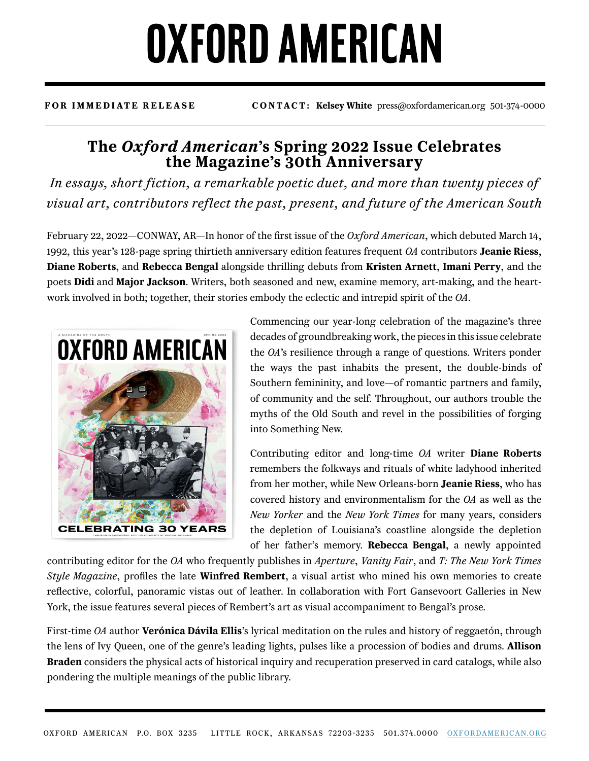## **OXFORD AMERICAN**

**FOR IMMEDIATE RELEASE CONTACT: Kelsey White** press@oxfordamerican.org 501-374-0000

## **The** *Oxford American***'s Spring 2022 Issue Celebrates the Magazine's 30th Anniversary**

*In essays, short fiction, a remarkable poetic duet, and more than twenty pieces of visual art, contributors reflect the past, present, and future of the American South*

February 22, 2022—CONWAY, AR—In honor of the first issue of the *Oxford American*, which debuted March 14, 1992, this year's 128-page spring thirtieth anniversary edition features frequent *OA* contributors **Jeanie Riess**, **Diane Roberts**, and **Rebecca Bengal** alongside thrilling debuts from **Kristen Arnett**, **Imani Perry**, and the poets **Didi** and **Major Jackson**. Writers, both seasoned and new, examine memory, art-making, and the heartwork involved in both; together, their stories embody the eclectic and intrepid spirit of the *OA*.



Commencing our year-long celebration of the magazine's three decades of groundbreaking work, the pieces in this issue celebrate the *OA*'s resilience through a range of questions. Writers ponder the ways the past inhabits the present, the double-binds of Southern femininity, and love—of romantic partners and family, of community and the self. Throughout, our authors trouble the myths of the Old South and revel in the possibilities of forging into Something New.

Contributing editor and long-time *OA* writer **Diane Roberts** remembers the folkways and rituals of white ladyhood inherited from her mother, while New Orleans-born **Jeanie Riess**, who has covered history and environmentalism for the *OA* as well as the *New Yorker* and the *New York Times* for many years, considers the depletion of Louisiana's coastline alongside the depletion of her father's memory. **Rebecca Bengal**, a newly appointed

contributing editor for the *OA* who frequently publishes in *Aperture*, *Vanity Fair*, and *T: The New York Times Style Magazine*, profiles the late **Winfred Rembert**, a visual artist who mined his own memories to create reflective, colorful, panoramic vistas out of leather. In collaboration with Fort Gansevoort Galleries in New York, the issue features several pieces of Rembert's art as visual accompaniment to Bengal's prose.

First-time *OA* author **Verónica Dávila Ellis**'s lyrical meditation on the rules and history of reggaetón, through the lens of Ivy Queen, one of the genre's leading lights, pulses like a procession of bodies and drums. **Allison Braden** considers the physical acts of historical inquiry and recuperation preserved in card catalogs, while also pondering the multiple meanings of the public library.